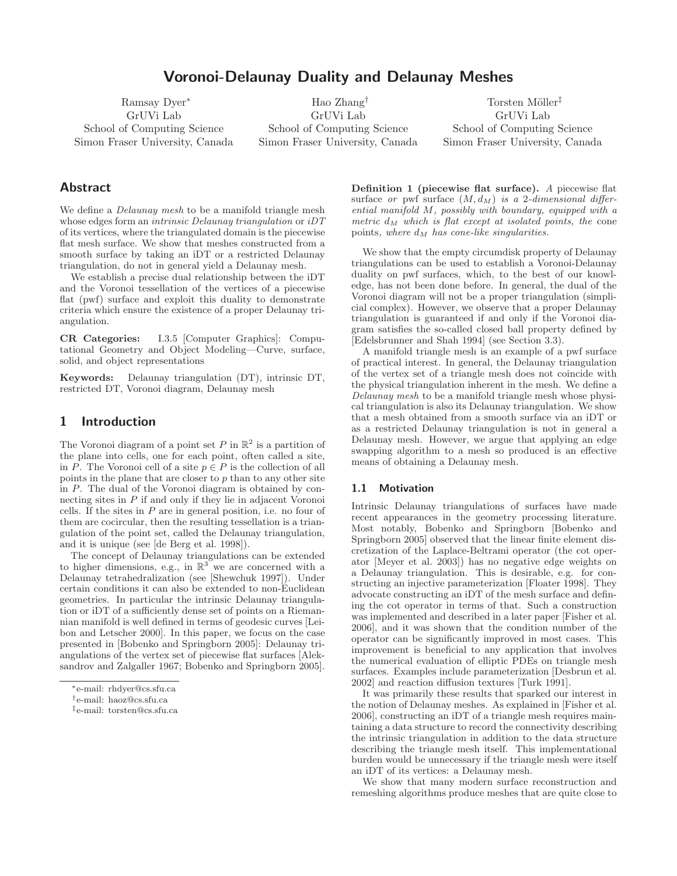# Voronoi-Delaunay Duality and Delaunay Meshes

Ramsay Dyer<sup>∗</sup> GrUVi Lab School of Computing Science Simon Fraser University, Canada

Hao Zhang† GrUVi Lab School of Computing Science Simon Fraser University, Canada

Torsten Möller<sup>‡</sup> GrUVi Lab School of Computing Science Simon Fraser University, Canada

# Abstract

We define a *Delaunay mesh* to be a manifold triangle mesh whose edges form an *intrinsic Delaunay triangulation* or  $iDT$ of its vertices, where the triangulated domain is the piecewise flat mesh surface. We show that meshes constructed from a smooth surface by taking an iDT or a restricted Delaunay triangulation, do not in general yield a Delaunay mesh.

We establish a precise dual relationship between the iDT and the Voronoi tessellation of the vertices of a piecewise flat (pwf) surface and exploit this duality to demonstrate criteria which ensure the existence of a proper Delaunay triangulation.

CR Categories: I.3.5 [Computer Graphics]: Computational Geometry and Object Modeling—Curve, surface, solid, and object representations

Keywords: Delaunay triangulation (DT), intrinsic DT, restricted DT, Voronoi diagram, Delaunay mesh

# 1 Introduction

The Voronoi diagram of a point set P in  $\mathbb{R}^2$  is a partition of the plane into cells, one for each point, often called a site, in P. The Voronoi cell of a site  $p \in P$  is the collection of all points in the plane that are closer to p than to any other site in P. The dual of the Voronoi diagram is obtained by connecting sites in P if and only if they lie in adjacent Voronoi cells. If the sites in  $P$  are in general position, i.e. no four of them are cocircular, then the resulting tessellation is a triangulation of the point set, called the Delaunay triangulation, and it is unique (see [de Berg et al. 1998]).

The concept of Delaunay triangulations can be extended to higher dimensions, e.g., in  $\mathbb{R}^3$  we are concerned with a Delaunay tetrahedralization (see [Shewchuk 1997]). Under certain conditions it can also be extended to non-Euclidean geometries. In particular the intrinsic Delaunay triangulation or iDT of a sufficiently dense set of points on a Riemannian manifold is well defined in terms of geodesic curves [Leibon and Letscher 2000]. In this paper, we focus on the case presented in [Bobenko and Springborn 2005]: Delaunay triangulations of the vertex set of piecewise flat surfaces [Aleksandrov and Zalgaller 1967; Bobenko and Springborn 2005]. Definition 1 (piecewise flat surface). A piecewise flat surface or pwf surface  $(M, d_M)$  is a 2-dimensional differential manifold M, possibly with boundary, equipped with a metric  $d_M$  which is flat except at isolated points, the cone points, where  $d_M$  has cone-like singularities.

We show that the empty circumdisk property of Delaunay triangulations can be used to establish a Voronoi-Delaunay duality on pwf surfaces, which, to the best of our knowledge, has not been done before. In general, the dual of the Voronoi diagram will not be a proper triangulation (simplicial complex). However, we observe that a proper Delaunay triangulation is guaranteed if and only if the Voronoi diagram satisfies the so-called closed ball property defined by [Edelsbrunner and Shah 1994] (see Section 3.3).

A manifold triangle mesh is an example of a pwf surface of practical interest. In general, the Delaunay triangulation of the vertex set of a triangle mesh does not coincide with the physical triangulation inherent in the mesh. We define a Delaunay mesh to be a manifold triangle mesh whose physical triangulation is also its Delaunay triangulation. We show that a mesh obtained from a smooth surface via an iDT or as a restricted Delaunay triangulation is not in general a Delaunay mesh. However, we argue that applying an edge swapping algorithm to a mesh so produced is an effective means of obtaining a Delaunay mesh.

### 1.1 Motivation

Intrinsic Delaunay triangulations of surfaces have made recent appearances in the geometry processing literature. Most notably, Bobenko and Springborn [Bobenko and Springborn 2005] observed that the linear finite element discretization of the Laplace-Beltrami operator (the cot operator [Meyer et al. 2003]) has no negative edge weights on a Delaunay triangulation. This is desirable, e.g. for constructing an injective parameterization [Floater 1998]. They advocate constructing an iDT of the mesh surface and defining the cot operator in terms of that. Such a construction was implemented and described in a later paper [Fisher et al. 2006], and it was shown that the condition number of the operator can be significantly improved in most cases. This improvement is beneficial to any application that involves the numerical evaluation of elliptic PDEs on triangle mesh surfaces. Examples include parameterization [Desbrun et al. 2002] and reaction diffusion textures [Turk 1991].

It was primarily these results that sparked our interest in the notion of Delaunay meshes. As explained in [Fisher et al. 2006], constructing an iDT of a triangle mesh requires maintaining a data structure to record the connectivity describing the intrinsic triangulation in addition to the data structure describing the triangle mesh itself. This implementational burden would be unnecessary if the triangle mesh were itself an iDT of its vertices: a Delaunay mesh.

We show that many modern surface reconstruction and remeshing algorithms produce meshes that are quite close to

<sup>∗</sup>e-mail: rhdyer@cs.sfu.ca

<sup>†</sup>e-mail: haoz@cs.sfu.ca

<sup>‡</sup>e-mail: torsten@cs.sfu.ca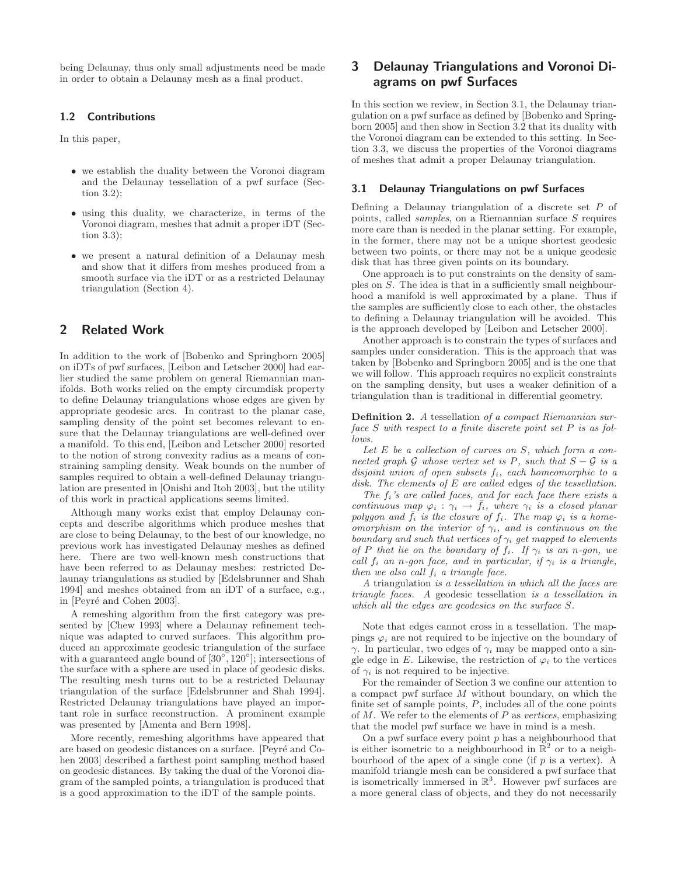being Delaunay, thus only small adjustments need be made in order to obtain a Delaunay mesh as a final product.

## 1.2 Contributions

In this paper,

- we establish the duality between the Voronoi diagram and the Delaunay tessellation of a pwf surface (Section 3.2);
- using this duality, we characterize, in terms of the Voronoi diagram, meshes that admit a proper iDT (Section 3.3);
- we present a natural definition of a Delaunay mesh and show that it differs from meshes produced from a smooth surface via the iDT or as a restricted Delaunay triangulation (Section 4).

# 2 Related Work

In addition to the work of [Bobenko and Springborn 2005] on iDTs of pwf surfaces, [Leibon and Letscher 2000] had earlier studied the same problem on general Riemannian manifolds. Both works relied on the empty circumdisk property to define Delaunay triangulations whose edges are given by appropriate geodesic arcs. In contrast to the planar case, sampling density of the point set becomes relevant to ensure that the Delaunay triangulations are well-defined over a manifold. To this end, [Leibon and Letscher 2000] resorted to the notion of strong convexity radius as a means of constraining sampling density. Weak bounds on the number of samples required to obtain a well-defined Delaunay triangulation are presented in [Onishi and Itoh 2003], but the utility of this work in practical applications seems limited.

Although many works exist that employ Delaunay concepts and describe algorithms which produce meshes that are close to being Delaunay, to the best of our knowledge, no previous work has investigated Delaunay meshes as defined here. There are two well-known mesh constructions that have been referred to as Delaunay meshes: restricted Delaunay triangulations as studied by [Edelsbrunner and Shah 1994] and meshes obtained from an iDT of a surface, e.g., in [Peyré and Cohen 2003].

A remeshing algorithm from the first category was presented by [Chew 1993] where a Delaunay refinement technique was adapted to curved surfaces. This algorithm produced an approximate geodesic triangulation of the surface with a guaranteed angle bound of  $[30^\circ, 120^\circ]$ ; intersections of the surface with a sphere are used in place of geodesic disks. The resulting mesh turns out to be a restricted Delaunay triangulation of the surface [Edelsbrunner and Shah 1994]. Restricted Delaunay triangulations have played an important role in surface reconstruction. A prominent example was presented by [Amenta and Bern 1998].

More recently, remeshing algorithms have appeared that are based on geodesic distances on a surface. [Peyré and Cohen 2003] described a farthest point sampling method based on geodesic distances. By taking the dual of the Voronoi diagram of the sampled points, a triangulation is produced that is a good approximation to the iDT of the sample points.

# 3 Delaunay Triangulations and Voronoi Diagrams on pwf Surfaces

In this section we review, in Section 3.1, the Delaunay triangulation on a pwf surface as defined by [Bobenko and Springborn 2005] and then show in Section 3.2 that its duality with the Voronoi diagram can be extended to this setting. In Section 3.3, we discuss the properties of the Voronoi diagrams of meshes that admit a proper Delaunay triangulation.

#### 3.1 Delaunay Triangulations on pwf Surfaces

Defining a Delaunay triangulation of a discrete set  $P$  of points, called samples, on a Riemannian surface S requires more care than is needed in the planar setting. For example, in the former, there may not be a unique shortest geodesic between two points, or there may not be a unique geodesic disk that has three given points on its boundary.

One approach is to put constraints on the density of samples on S. The idea is that in a sufficiently small neighbourhood a manifold is well approximated by a plane. Thus if the samples are sufficiently close to each other, the obstacles to defining a Delaunay triangulation will be avoided. This is the approach developed by [Leibon and Letscher 2000].

Another approach is to constrain the types of surfaces and samples under consideration. This is the approach that was taken by [Bobenko and Springborn 2005] and is the one that we will follow. This approach requires no explicit constraints on the sampling density, but uses a weaker definition of a triangulation than is traditional in differential geometry.

Definition 2. A tessellation of a compact Riemannian surface S with respect to a finite discrete point set P is as follows.

Let  $E$  be a collection of curves on  $S$ , which form a connected graph G whose vertex set is P, such that  $S - G$  is a disjoint union of open subsets  $f_i$ , each homeomorphic to a disk. The elements of E are called edges of the tessellation.

The  $f_i$ 's are called faces, and for each face there exists a continuous map  $\varphi_i : \gamma_i \to \bar{f}_i$ , where  $\gamma_i$  is a closed planar polygon and  $\bar{f}_i$  is the closure of  $f_i$ . The map  $\varphi_i$  is a homeomorphism on the interior of  $\gamma_i$ , and is continuous on the boundary and such that vertices of  $\gamma_i$  get mapped to elements of P that lie on the boundary of  $f_i$ . If  $\gamma_i$  is an n-gon, we call  $f_i$  an n-gon face, and in particular, if  $\gamma_i$  is a triangle, then we also call  $f_i$  a triangle face.

A triangulation is a tessellation in which all the faces are triangle faces. A geodesic tessellation is a tessellation in which all the edges are geodesics on the surface S.

Note that edges cannot cross in a tessellation. The mappings  $\varphi_i$  are not required to be injective on the boundary of  $γ$ . In particular, two edges of  $γ<sub>i</sub>$  may be mapped onto a single edge in E. Likewise, the restriction of  $\varphi_i$  to the vertices of  $\gamma_i$  is not required to be injective.

For the remainder of Section 3 we confine our attention to a compact pwf surface M without boundary, on which the finite set of sample points, P, includes all of the cone points of  $M$ . We refer to the elements of  $P$  as vertices, emphasizing that the model pwf surface we have in mind is a mesh.

On a pwf surface every point  $p$  has a neighbourhood that is either isometric to a neighbourhood in  $\mathbb{R}^2$  or to a neighbourhood of the apex of a single cone (if  $p$  is a vertex). A manifold triangle mesh can be considered a pwf surface that is isometrically immersed in  $\mathbb{R}^3$ . However pwf surfaces are a more general class of objects, and they do not necessarily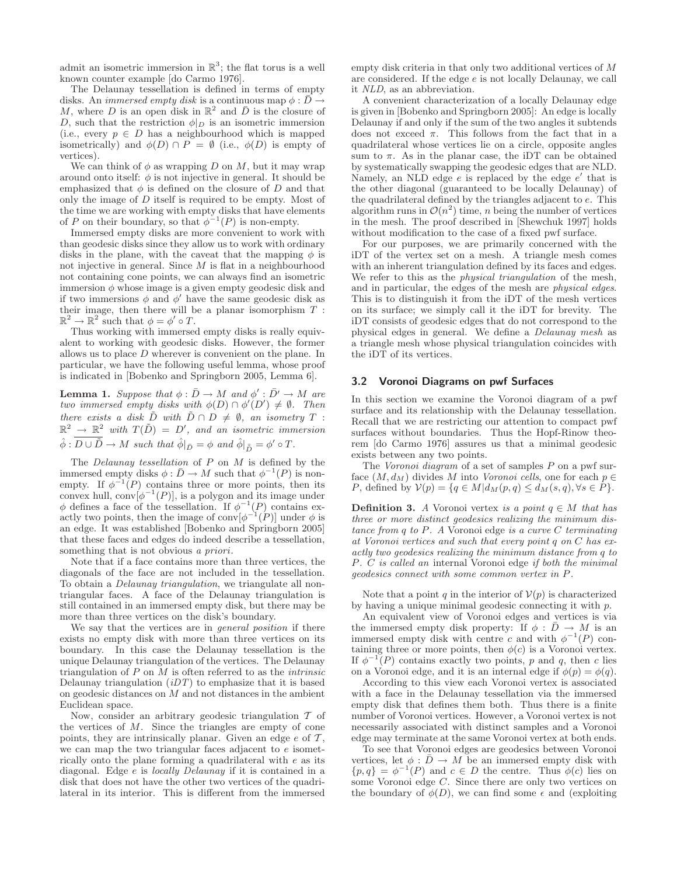admit an isometric immersion in  $\mathbb{R}^3$ ; the flat torus is a well known counter example [do Carmo 1976].

The Delaunay tessellation is defined in terms of empty disks. An *immersed empty disk* is a continuous map  $\phi : \overline{D} \to$ M, where D is an open disk in  $\mathbb{R}^2$  and  $\overline{D}$  is the closure of D, such that the restriction  $\phi|_D$  is an isometric immersion (i.e., every  $p \in D$  has a neighbourhood which is mapped isometrically) and  $\phi(D) \cap P = \emptyset$  (i.e.,  $\phi(D)$ ) is empty of vertices).

We can think of  $\phi$  as wrapping D on M, but it may wrap around onto itself:  $\phi$  is not injective in general. It should be emphasized that  $\phi$  is defined on the closure of D and that only the image of  $D$  itself is required to be empty. Most of the time we are working with empty disks that have elements of P on their boundary, so that  $\phi^{-1}(P)$  is non-empty.

Immersed empty disks are more convenient to work with than geodesic disks since they allow us to work with ordinary disks in the plane, with the caveat that the mapping  $\phi$  is not injective in general. Since  $M$  is flat in a neighbourhood not containing cone points, we can always find an isometric immersion  $\phi$  whose image is a given empty geodesic disk and if two immersions  $\phi$  and  $\phi'$  have the same geodesic disk as their image, then there will be a planar isomorphism  $T$ :  $\mathbb{R}^2 \to \mathbb{R}^2$  such that  $\phi = \phi' \circ T$ .

Thus working with immersed empty disks is really equivalent to working with geodesic disks. However, the former allows us to place D wherever is convenient on the plane. In particular, we have the following useful lemma, whose proof is indicated in [Bobenko and Springborn 2005, Lemma 6].

**Lemma 1.** Suppose that  $\phi : \overline{D} \to M$  and  $\phi' : \overline{D'} \to M$  are two immersed empty disks with  $\phi(D) \cap \phi'(D') \neq \emptyset$ . Then there exists a disk  $\tilde{D}$  with  $\tilde{D} \cap D \neq \emptyset$ , an isometry T :  $\mathbb{R}^2 \to \mathbb{R}^2$  with  $T(\tilde{D}) = D'$ , and an isometric immersion  $\hat{\phi}: D \cup \tilde{D} \to M$  such that  $\hat{\phi}|_{\bar{D}} = \phi$  and  $\hat{\phi}|_{\bar{D}} = \phi' \circ T$ .

The *Delaunay tessellation* of  $P$  on  $M$  is defined by the immersed empty disks  $\phi : \bar{D} \to M$  such that  $\phi^{-1}(P)$  is nonempty. If  $\phi^{-1}(P)$  contains three or more points, then its convex hull,  $conv[\phi^{-1}(P)]$ , is a polygon and its image under  $\phi$  defines a face of the tessellation. If  $\phi^{-1}(P)$  contains exactly two points, then the image of  $\text{conv}[\phi^{-1}(P)]$  under  $\phi$  is an edge. It was established [Bobenko and Springborn 2005] that these faces and edges do indeed describe a tessellation, something that is not obvious *a priori*.

Note that if a face contains more than three vertices, the diagonals of the face are not included in the tessellation. To obtain a Delaunay triangulation, we triangulate all nontriangular faces. A face of the Delaunay triangulation is still contained in an immersed empty disk, but there may be more than three vertices on the disk's boundary.

We say that the vertices are in *general position* if there exists no empty disk with more than three vertices on its boundary. In this case the Delaunay tessellation is the unique Delaunay triangulation of the vertices. The Delaunay triangulation of  $P$  on  $M$  is often referred to as the *intrinsic* Delaunay triangulation  $(iDT)$  to emphasize that it is based on geodesic distances on M and not distances in the ambient Euclidean space.

Now, consider an arbitrary geodesic triangulation  $\mathcal T$  of the vertices of  $M$ . Since the triangles are empty of cone points, they are intrinsically planar. Given an edge  $e$  of  $\mathcal{T}$ , we can map the two triangular faces adjacent to e isometrically onto the plane forming a quadrilateral with  $e$  as its diagonal. Edge e is locally Delaunay if it is contained in a disk that does not have the other two vertices of the quadrilateral in its interior. This is different from the immersed empty disk criteria in that only two additional vertices of M are considered. If the edge e is not locally Delaunay, we call it NLD, as an abbreviation.

A convenient characterization of a locally Delaunay edge is given in [Bobenko and Springborn 2005]: An edge is locally Delaunay if and only if the sum of the two angles it subtends does not exceed  $\pi$ . This follows from the fact that in a quadrilateral whose vertices lie on a circle, opposite angles sum to  $\pi$ . As in the planar case, the iDT can be obtained by systematically swapping the geodesic edges that are NLD. Namely, an NLD edge  $e$  is replaced by the edge  $e'$  that is the other diagonal (guaranteed to be locally Delaunay) of the quadrilateral defined by the triangles adjacent to e. This algorithm runs in  $\mathcal{O}(n^2)$  time, *n* being the number of vertices in the mesh. The proof described in [Shewchuk 1997] holds without modification to the case of a fixed pwf surface.

For our purposes, we are primarily concerned with the iDT of the vertex set on a mesh. A triangle mesh comes with an inherent triangulation defined by its faces and edges. We refer to this as the *physical triangulation* of the mesh, and in particular, the edges of the mesh are physical edges. This is to distinguish it from the iDT of the mesh vertices on its surface; we simply call it the iDT for brevity. The iDT consists of geodesic edges that do not correspond to the physical edges in general. We define a Delaunay mesh as a triangle mesh whose physical triangulation coincides with the iDT of its vertices.

### 3.2 Voronoi Diagrams on pwf Surfaces

In this section we examine the Voronoi diagram of a pwf surface and its relationship with the Delaunay tessellation. Recall that we are restricting our attention to compact pwf surfaces without boundaries. Thus the Hopf-Rinow theorem [do Carmo 1976] assures us that a minimal geodesic exists between any two points.

The *Voronoi diagram* of a set of samples  $P$  on a pwf surface  $(M, d_M)$  divides M into Voronoi cells, one for each  $p \in$ P, defined by  $V(p) = \{q \in M | d_M(p,q) \leq d_M(s,q), \forall s \in P\}.$ 

**Definition 3.** A Voronoi vertex is a point  $q \in M$  that has three or more distinct geodesics realizing the minimum distance from  $q$  to  $P$ . A Voronoi edge is a curve  $C$  terminating at Voronoi vertices and such that every point  $q$  on  $C$  has exactly two geodesics realizing the minimum distance from q to P. C is called an internal Voronoi edge if both the minimal geodesics connect with some common vertex in P.

Note that a point q in the interior of  $V(p)$  is characterized by having a unique minimal geodesic connecting it with p.

An equivalent view of Voronoi edges and vertices is via the immersed empty disk property: If  $\phi : \bar{D} \to M$  is an immersed empty disk with centre c and with  $\phi^{-1}(P)$  containing three or more points, then  $\phi(c)$  is a Voronoi vertex. If  $\phi^{-1}(P)$  contains exactly two points, p and q, then c lies on a Voronoi edge, and it is an internal edge if  $\phi(p) = \phi(q)$ .

According to this view each Voronoi vertex is associated with a face in the Delaunay tessellation via the immersed empty disk that defines them both. Thus there is a finite number of Voronoi vertices. However, a Voronoi vertex is not necessarily associated with distinct samples and a Voronoi edge may terminate at the same Voronoi vertex at both ends.

To see that Voronoi edges are geodesics between Voronoi vertices, let  $\phi : \bar{D} \to M$  be an immersed empty disk with  $\{p,q\} = \phi^{-1}(P)$  and  $c \in D$  the centre. Thus  $\phi(c)$  lies on some Voronoi edge C. Since there are only two vertices on the boundary of  $\phi(D)$ , we can find some  $\epsilon$  and (exploiting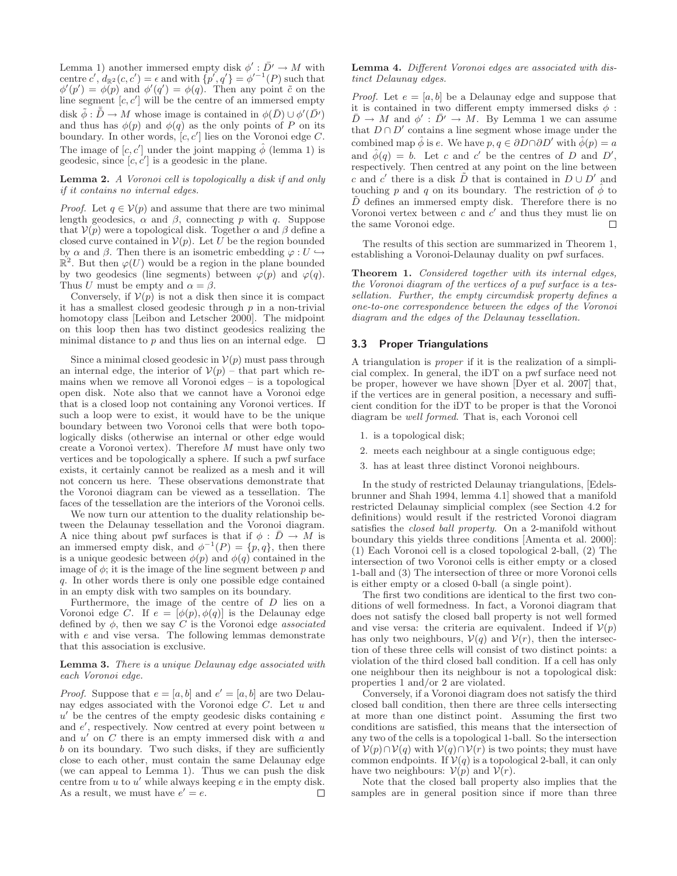Lemma 1) another immersed empty disk  $\phi' : \bar{D'} \to M$  with centre  $c', d_{\mathbb{R}^2}(c, c') = \epsilon$  and with  $\{p', q'\} = \phi'^{-1}(P)$  such that  $\phi'(p') = \phi(p)$  and  $\phi'(q') = \phi(q)$ . Then any point  $\tilde{c}$  on the line segment  $[c, c']$  will be the centre of an immersed empty disk  $\tilde{\phi} : \tilde{\bar{D}} \to M$  whose image is contained in  $\phi(\bar{D}) \cup \phi'(\bar{D'})$ and thus has  $\phi(p)$  and  $\phi(q)$  as the only points of P on its boundary. In other words,  $[c, c']$  lies on the Voronoi edge C. The image of  $[c, c']$  under the joint mapping  $\hat{\phi}$  (lemma 1) is geodesic, since  $[c, c']$  is a geodesic in the plane.

Lemma 2. A Voronoi cell is topologically a disk if and only if it contains no internal edges.

*Proof.* Let  $q \in V(p)$  and assume that there are two minimal length geodesics,  $\alpha$  and  $\beta$ , connecting p with q. Suppose that  $V(p)$  were a topological disk. Together  $\alpha$  and  $\beta$  define a closed curve contained in  $V(p)$ . Let U be the region bounded by  $\alpha$  and  $\beta$ . Then there is an isometric embedding  $\varphi: U \hookrightarrow$  $\mathbb{R}^2$ . But then  $\varphi(U)$  would be a region in the plane bounded by two geodesics (line segments) between  $\varphi(p)$  and  $\varphi(q)$ . Thus U must be empty and  $\alpha = \beta$ .

Conversely, if  $V(p)$  is not a disk then since it is compact it has a smallest closed geodesic through  $p$  in a non-trivial homotopy class [Leibon and Letscher 2000]. The midpoint on this loop then has two distinct geodesics realizing the minimal distance to p and thus lies on an internal edge.  $\Box$ 

Since a minimal closed geodesic in  $\mathcal{V}(p)$  must pass through an internal edge, the interior of  $V(p)$  – that part which remains when we remove all Voronoi edges – is a topological open disk. Note also that we cannot have a Voronoi edge that is a closed loop not containing any Voronoi vertices. If such a loop were to exist, it would have to be the unique boundary between two Voronoi cells that were both topologically disks (otherwise an internal or other edge would create a Voronoi vertex). Therefore M must have only two vertices and be topologically a sphere. If such a pwf surface exists, it certainly cannot be realized as a mesh and it will not concern us here. These observations demonstrate that the Voronoi diagram can be viewed as a tessellation. The faces of the tessellation are the interiors of the Voronoi cells.

We now turn our attention to the duality relationship between the Delaunay tessellation and the Voronoi diagram. A nice thing about pwf surfaces is that if  $\phi : \bar{D} \to M$  is an immersed empty disk, and  $\phi^{-1}(P) = \{p, q\}$ , then there is a unique geodesic between  $\phi(p)$  and  $\phi(q)$  contained in the image of  $\phi$ ; it is the image of the line segment between p and q. In other words there is only one possible edge contained in an empty disk with two samples on its boundary.

Furthermore, the image of the centre of  $D$  lies on a Voronoi edge C. If  $e = [\phi(p), \phi(q)]$  is the Delaunay edge defined by  $\phi$ , then we say C is the Voronoi edge *associated* with e and vise versa. The following lemmas demonstrate that this association is exclusive.

#### Lemma 3. There is a unique Delaunay edge associated with each Voronoi edge.

*Proof.* Suppose that  $e = [a, b]$  and  $e' = [a, b]$  are two Delaunay edges associated with the Voronoi edge  $C$ . Let  $u$  and  $u'$  be the centres of the empty geodesic disks containing  $e$ and e', respectively. Now centred at every point between u and  $u'$  on  $C$  there is an empty immersed disk with  $a$  and b on its boundary. Two such disks, if they are sufficiently close to each other, must contain the same Delaunay edge (we can appeal to Lemma 1). Thus we can push the disk centre from  $u$  to  $u'$  while always keeping  $e$  in the empty disk. As a result, we must have  $e' = e$ . П

### Lemma 4. Different Voronoi edges are associated with distinct Delaunay edges.

*Proof.* Let  $e = [a, b]$  be a Delaunay edge and suppose that it is contained in two different empty immersed disks  $\phi$ :  $\bar{D} \to M$  and  $\phi' : \bar{D'} \to M$ . By Lemma 1 we can assume that  $D \cap D'$  contains a line segment whose image under the combined map  $\phi$  is e. We have  $p, q \in \partial D \cap \partial D'$  with  $\phi(p) = a$ and  $\hat{\phi}(q) = b$ . Let c and c' be the centres of D and D', respectively. Then centred at any point on the line between c and c' there is a disk  $\tilde{D}$  that is contained in  $D \cup D'$  and touching p and q on its boundary. The restriction of  $\phi$  to  $\tilde{D}$  defines an immersed empty disk. Therefore there is no Voronoi vertex between  $c$  and  $c'$  and thus they must lie on the same Voronoi edge. П

The results of this section are summarized in Theorem 1, establishing a Voronoi-Delaunay duality on pwf surfaces.

Theorem 1. Considered together with its internal edges, the Voronoi diagram of the vertices of a pwf surface is a tessellation. Further, the empty circumdisk property defines a one-to-one correspondence between the edges of the Voronoi diagram and the edges of the Delaunay tessellation.

### 3.3 Proper Triangulations

A triangulation is proper if it is the realization of a simplicial complex. In general, the iDT on a pwf surface need not be proper, however we have shown [Dyer et al. 2007] that, if the vertices are in general position, a necessary and sufficient condition for the iDT to be proper is that the Voronoi diagram be well formed. That is, each Voronoi cell

- 1. is a topological disk;
- 2. meets each neighbour at a single contiguous edge;
- 3. has at least three distinct Voronoi neighbours.

In the study of restricted Delaunay triangulations, [Edelsbrunner and Shah 1994, lemma 4.1] showed that a manifold restricted Delaunay simplicial complex (see Section 4.2 for definitions) would result if the restricted Voronoi diagram satisfies the closed ball property. On a 2-manifold without boundary this yields three conditions [Amenta et al. 2000]: (1) Each Voronoi cell is a closed topological 2-ball, (2) The intersection of two Voronoi cells is either empty or a closed 1-ball and (3) The intersection of three or more Voronoi cells is either empty or a closed 0-ball (a single point).

The first two conditions are identical to the first two conditions of well formedness. In fact, a Voronoi diagram that does not satisfy the closed ball property is not well formed and vise versa: the criteria are equivalent. Indeed if  $V(p)$ has only two neighbours,  $V(q)$  and  $V(r)$ , then the intersection of these three cells will consist of two distinct points: a violation of the third closed ball condition. If a cell has only one neighbour then its neighbour is not a topological disk: properties 1 and/or 2 are violated.

Conversely, if a Voronoi diagram does not satisfy the third closed ball condition, then there are three cells intersecting at more than one distinct point. Assuming the first two conditions are satisfied, this means that the intersection of any two of the cells is a topological 1-ball. So the intersection of  $V(p) \cap V(q)$  with  $V(q) \cap V(r)$  is two points; they must have common endpoints. If  $V(q)$  is a topological 2-ball, it can only have two neighbours:  $V(p)$  and  $V(r)$ .

Note that the closed ball property also implies that the samples are in general position since if more than three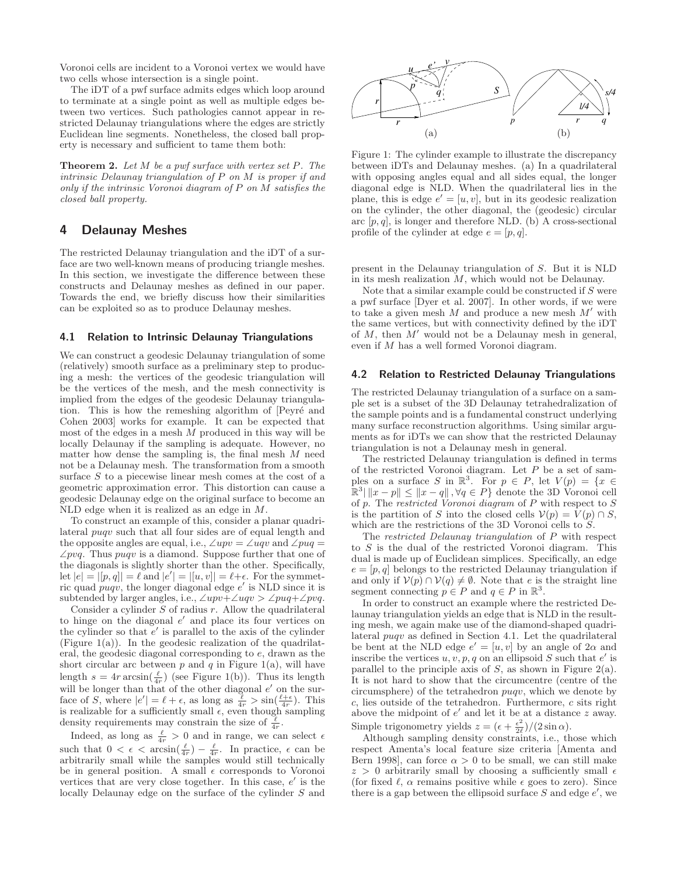Voronoi cells are incident to a Voronoi vertex we would have two cells whose intersection is a single point.

The iDT of a pwf surface admits edges which loop around to terminate at a single point as well as multiple edges between two vertices. Such pathologies cannot appear in restricted Delaunay triangulations where the edges are strictly Euclidean line segments. Nonetheless, the closed ball property is necessary and sufficient to tame them both:

**Theorem 2.** Let  $M$  be a pwf surface with vertex set  $P$ . The intrinsic Delaunay triangulation of P on M is proper if and only if the intrinsic Voronoi diagram of P on M satisfies the closed ball property.

# 4 Delaunay Meshes

The restricted Delaunay triangulation and the iDT of a surface are two well-known means of producing triangle meshes. In this section, we investigate the difference between these constructs and Delaunay meshes as defined in our paper. Towards the end, we briefly discuss how their similarities can be exploited so as to produce Delaunay meshes.

### 4.1 Relation to Intrinsic Delaunay Triangulations

We can construct a geodesic Delaunay triangulation of some (relatively) smooth surface as a preliminary step to producing a mesh: the vertices of the geodesic triangulation will be the vertices of the mesh, and the mesh connectivity is implied from the edges of the geodesic Delaunay triangulation. This is how the remeshing algorithm of Peyré and Cohen 2003] works for example. It can be expected that most of the edges in a mesh  $M$  produced in this way will be locally Delaunay if the sampling is adequate. However, no matter how dense the sampling is, the final mesh  $M$  need not be a Delaunay mesh. The transformation from a smooth surface S to a piecewise linear mesh comes at the cost of a geometric approximation error. This distortion can cause a geodesic Delaunay edge on the original surface to become an NLD edge when it is realized as an edge in M.

To construct an example of this, consider a planar quadrilateral puqv such that all four sides are of equal length and the opposite angles are equal, i.e.,  $\angle upv = \angle uqv$  and  $\angle puq =$  $\angle pvq$ . Thus puqv is a diamond. Suppose further that one of the diagonals is slightly shorter than the other. Specifically, let  $|e| = |[p, q]| = \ell$  and  $|e'| = |[u, v]| = \ell + \epsilon$ . For the symmetric quad  $puqv$ , the longer diagonal edge  $e'$  is NLD since it is subtended by larger angles, i.e.,  $\angle upv + \angle uqv > \angle puq + \angle pvq$ .

Consider a cylinder  $S$  of radius  $r$ . Allow the quadrilateral to hinge on the diagonal  $e'$  and place its four vertices on the cylinder so that  $e'$  is parallel to the axis of the cylinder (Figure  $1(a)$ ). In the geodesic realization of the quadrilateral, the geodesic diagonal corresponding to e, drawn as the short circular arc between  $p$  and  $q$  in Figure 1(a), will have length  $s = 4r \arcsin(\frac{\ell}{4r})$  (see Figure 1(b)). Thus its length will be longer than that of the other diagonal  $e'$  on the surface of S, where  $|e'| = \ell + \epsilon$ , as long as  $\frac{\ell}{4r} > \sin(\frac{\ell + \epsilon}{4r})$ . This is realizable for a sufficiently small  $\epsilon$ , even though sampling density requirements may constrain the size of  $\frac{\ell}{4r}$ .

Indeed, as long as  $\frac{\ell}{4r} > 0$  and in range, we can select  $\epsilon$ such that  $0 < \epsilon < \arcsin(\frac{\ell}{4r}) - \frac{\ell}{4r}$ . In practice,  $\epsilon$  can be arbitrarily small while the samples would still technically be in general position. A small  $\epsilon$  corresponds to Voronoi vertices that are very close together. In this case,  $e'$  is the locally Delaunay edge on the surface of the cylinder S and



Figure 1: The cylinder example to illustrate the discrepancy between iDTs and Delaunay meshes. (a) In a quadrilateral with opposing angles equal and all sides equal, the longer diagonal edge is NLD. When the quadrilateral lies in the plane, this is edge  $e' = [u, v]$ , but in its geodesic realization on the cylinder, the other diagonal, the (geodesic) circular arc  $[p, q]$ , is longer and therefore NLD. (b) A cross-sectional profile of the cylinder at edge  $e = [p, q]$ .

present in the Delaunay triangulation of S. But it is NLD in its mesh realization  $M$ , which would not be Delaunay.

Note that a similar example could be constructed if  $S$  were a pwf surface [Dyer et al. 2007]. In other words, if we were to take a given mesh  $M$  and produce a new mesh  $M'$  with the same vertices, but with connectivity defined by the iDT of  $M$ , then  $M'$  would not be a Delaunay mesh in general, even if M has a well formed Voronoi diagram.

## 4.2 Relation to Restricted Delaunay Triangulations

The restricted Delaunay triangulation of a surface on a sample set is a subset of the 3D Delaunay tetrahedralization of the sample points and is a fundamental construct underlying many surface reconstruction algorithms. Using similar arguments as for iDTs we can show that the restricted Delaunay triangulation is not a Delaunay mesh in general.

The restricted Delaunay triangulation is defined in terms of the restricted Voronoi diagram. Let  $P$  be a set of samples on a surface S in  $\mathbb{R}^3$ . For  $p \in P$ , let  $V(p) = \{x \in$  $\mathbb{R}^3 \mid \|x - p\| \leq \|x - q\|, \forall q \in P\}$  denote the 3D Voronoi cell of  $p$ . The *restricted Voronoi diagram* of  $P$  with respect to  $S$ is the partition of S into the closed cells  $\mathcal{V}(p) = V(p) \cap S$ , which are the restrictions of the 3D Voronoi cells to S.

The restricted Delaunay triangulation of P with respect to S is the dual of the restricted Voronoi diagram. This dual is made up of Euclidean simplices. Specifically, an edge  $e = [p, q]$  belongs to the restricted Delaunay triangulation if and only if  $V(p) \cap V(q) \neq \emptyset$ . Note that e is the straight line segment connecting  $p \in P$  and  $q \in P$  in  $\mathbb{R}^3$ .

In order to construct an example where the restricted Delaunay triangulation yields an edge that is NLD in the resulting mesh, we again make use of the diamond-shaped quadrilateral puqv as defined in Section 4.1. Let the quadrilateral be bent at the NLD edge  $e' = [u, v]$  by an angle of  $2\alpha$  and inscribe the vertices  $u, v, p, q$  on an ellipsoid S such that e' is parallel to the principle axis of  $S$ , as shown in Figure 2(a). It is not hard to show that the circumcentre (centre of the circumsphere) of the tetrahedron puqv, which we denote by  $c$ , lies outside of the tetrahedron. Furthermore,  $c$  sits right above the midpoint of  $e'$  and let it be at a distance  $z$  away. Simple trigonometry yields  $z = (\epsilon + \frac{\epsilon^2}{2\rho})$  $\frac{\epsilon^2}{2\ell})/(2\sin\alpha).$ 

Although sampling density constraints, i.e., those which respect Amenta's local feature size criteria [Amenta and Bern 1998], can force  $\alpha > 0$  to be small, we can still make  $z > 0$  arbitrarily small by choosing a sufficiently small  $\epsilon$ (for fixed  $\ell$ ,  $\alpha$  remains positive while  $\epsilon$  goes to zero). Since there is a gap between the ellipsoid surface  $S$  and edge  $e'$ , we